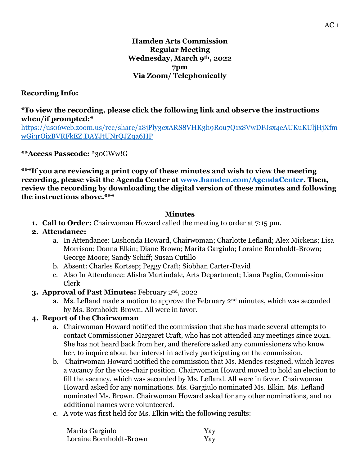#### **Recording Info:**

#### **\*To view the recording, please click the following link and observe the instructions when/if prompted:\***

[https://us06web.zoom.us/rec/share/a8jPly3exARS8VHK3h9Rou7Q1xSVwDFJsx4eAUKuKUljHjXfm](https://us06web.zoom.us/rec/share/a8jPly3exARS8VHK3h9Rou7Q1xSVwDFJsx4eAUKuKUljHjXfmwGi3rOixBVRFkEZ.DAYJtUNrQJZqa6HP) [wGi3rOixBVRFkEZ.DAYJtUNrQJZqa6HP](https://us06web.zoom.us/rec/share/a8jPly3exARS8VHK3h9Rou7Q1xSVwDFJsx4eAUKuKUljHjXfmwGi3rOixBVRFkEZ.DAYJtUNrQJZqa6HP)

**\*\*Access Passcode:** \*30GWw!G

**\*\*\*If you are reviewing a print copy of these minutes and wish to view the meeting recording, please visit the Agenda Center at [www.hamden.com/AgendaCenter.](http://www.hamden.com/AgendaCenter) Then, review the recording by downloading the digital version of these minutes and following the instructions above.\*\*\***

#### **Minutes**

**1. Call to Order:** Chairwoman Howard called the meeting to order at 7:15 pm.

#### **2. Attendance:**

- a. In Attendance: Lushonda Howard, Chairwoman; Charlotte Lefland; Alex Mickens; Lisa Morrison; Donna Elkin; Diane Brown; Marita Gargiulo; Loraine Bornholdt-Brown; George Moore; Sandy Schiff; Susan Cutillo
- b. Absent: Charles Kortsep; Peggy Craft; Siobhan Carter-David
- c. Also In Attendance: Alisha Martindale, Arts Department; Liana Paglia, Commission Clerk
- **3. Approval of Past Minutes:** February 2nd, 2022
	- a. Ms. Lefland made a motion to approve the February  $2<sup>nd</sup>$  minutes, which was seconded by Ms. Bornholdt-Brown. All were in favor.

# **4. Report of the Chairwoman**

- a. Chairwoman Howard notified the commission that she has made several attempts to contact Commissioner Margaret Craft, who has not attended any meetings since 2021. She has not heard back from her, and therefore asked any commissioners who know her, to inquire about her interest in actively participating on the commission.
- b. Chairwoman Howard notified the commission that Ms. Mendes resigned, which leaves a vacancy for the vice-chair position. Chairwoman Howard moved to hold an election to fill the vacancy, which was seconded by Ms. Lefland. All were in favor. Chairwoman Howard asked for any nominations. Ms. Gargiulo nominated Ms. Elkin. Ms. Lefland nominated Ms. Brown. Chairwoman Howard asked for any other nominations, and no additional names were volunteered.
- c. A vote was first held for Ms. Elkin with the following results:

| Marita Gargiulo         | Yay |
|-------------------------|-----|
| Loraine Bornholdt-Brown | Yay |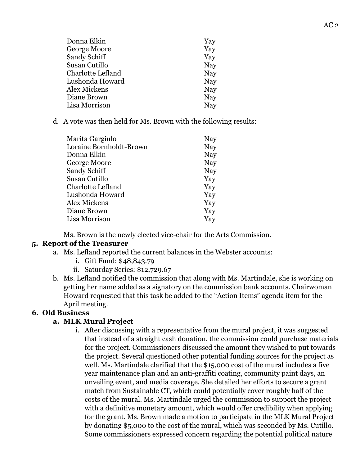| Donna Elkin       | Yay |
|-------------------|-----|
| George Moore      | Yay |
| Sandy Schiff      | Yay |
| Susan Cutillo     | Nay |
| Charlotte Lefland | Nay |
| Lushonda Howard   | Nay |
| Alex Mickens      | Nay |
| Diane Brown       | Nay |
| Lisa Morrison     | Nay |
|                   |     |

d. A vote was then held for Ms. Brown with the following results:

| Marita Gargiulo         | Nay |
|-------------------------|-----|
| Loraine Bornholdt-Brown | Nay |
| Donna Elkin             | Nay |
| George Moore            | Nay |
| Sandy Schiff            | Nay |
| Susan Cutillo           | Yay |
| Charlotte Lefland       | Yay |
| Lushonda Howard         | Yay |
| Alex Mickens            | Yay |
| Diane Brown             | Yay |
| Lisa Morrison           | Yay |
|                         |     |

Ms. Brown is the newly elected vice-chair for the Arts Commission.

# **5. Report of the Treasurer**

- a. Ms. Lefland reported the current balances in the Webster accounts:
	- i. Gift Fund: \$48,843.79
	- ii. Saturday Series: \$12,729.67
- b. Ms. Lefland notified the commission that along with Ms. Martindale, she is working on getting her name added as a signatory on the commission bank accounts. Chairwoman Howard requested that this task be added to the "Action Items" agenda item for the April meeting.

# **6. Old Business**

# **a. MLK Mural Project**

i. After discussing with a representative from the mural project, it was suggested that instead of a straight cash donation, the commission could purchase materials for the project. Commissioners discussed the amount they wished to put towards the project. Several questioned other potential funding sources for the project as well. Ms. Martindale clarified that the \$15,000 cost of the mural includes a five year maintenance plan and an anti-graffiti coating, community paint days, an unveiling event, and media coverage. She detailed her efforts to secure a grant match from Sustainable CT, which could potentially cover roughly half of the costs of the mural. Ms. Martindale urged the commission to support the project with a definitive monetary amount, which would offer credibility when applying for the grant. Ms. Brown made a motion to participate in the MLK Mural Project by donating \$5,000 to the cost of the mural, which was seconded by Ms. Cutillo. Some commissioners expressed concern regarding the potential political nature